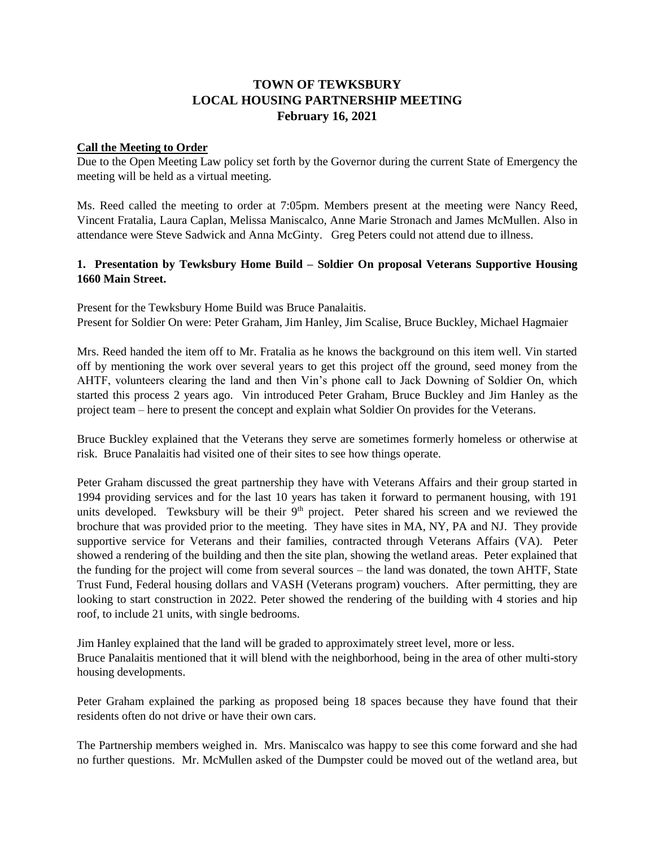# **TOWN OF TEWKSBURY LOCAL HOUSING PARTNERSHIP MEETING February 16, 2021**

### **Call the Meeting to Order**

Due to the Open Meeting Law policy set forth by the Governor during the current State of Emergency the meeting will be held as a virtual meeting.

Ms. Reed called the meeting to order at 7:05pm. Members present at the meeting were Nancy Reed, Vincent Fratalia, Laura Caplan, Melissa Maniscalco, Anne Marie Stronach and James McMullen. Also in attendance were Steve Sadwick and Anna McGinty. Greg Peters could not attend due to illness.

## **1. Presentation by Tewksbury Home Build – Soldier On proposal Veterans Supportive Housing 1660 Main Street.**

Present for the Tewksbury Home Build was Bruce Panalaitis. Present for Soldier On were: Peter Graham, Jim Hanley, Jim Scalise, Bruce Buckley, Michael Hagmaier

Mrs. Reed handed the item off to Mr. Fratalia as he knows the background on this item well. Vin started off by mentioning the work over several years to get this project off the ground, seed money from the AHTF, volunteers clearing the land and then Vin's phone call to Jack Downing of Soldier On, which started this process 2 years ago. Vin introduced Peter Graham, Bruce Buckley and Jim Hanley as the project team – here to present the concept and explain what Soldier On provides for the Veterans.

Bruce Buckley explained that the Veterans they serve are sometimes formerly homeless or otherwise at risk. Bruce Panalaitis had visited one of their sites to see how things operate.

Peter Graham discussed the great partnership they have with Veterans Affairs and their group started in 1994 providing services and for the last 10 years has taken it forward to permanent housing, with 191 units developed. Tewksbury will be their  $9<sup>th</sup>$  project. Peter shared his screen and we reviewed the brochure that was provided prior to the meeting. They have sites in MA, NY, PA and NJ. They provide supportive service for Veterans and their families, contracted through Veterans Affairs (VA). Peter showed a rendering of the building and then the site plan, showing the wetland areas. Peter explained that the funding for the project will come from several sources – the land was donated, the town AHTF, State Trust Fund, Federal housing dollars and VASH (Veterans program) vouchers. After permitting, they are looking to start construction in 2022. Peter showed the rendering of the building with 4 stories and hip roof, to include 21 units, with single bedrooms.

Jim Hanley explained that the land will be graded to approximately street level, more or less. Bruce Panalaitis mentioned that it will blend with the neighborhood, being in the area of other multi-story housing developments.

Peter Graham explained the parking as proposed being 18 spaces because they have found that their residents often do not drive or have their own cars.

The Partnership members weighed in. Mrs. Maniscalco was happy to see this come forward and she had no further questions. Mr. McMullen asked of the Dumpster could be moved out of the wetland area, but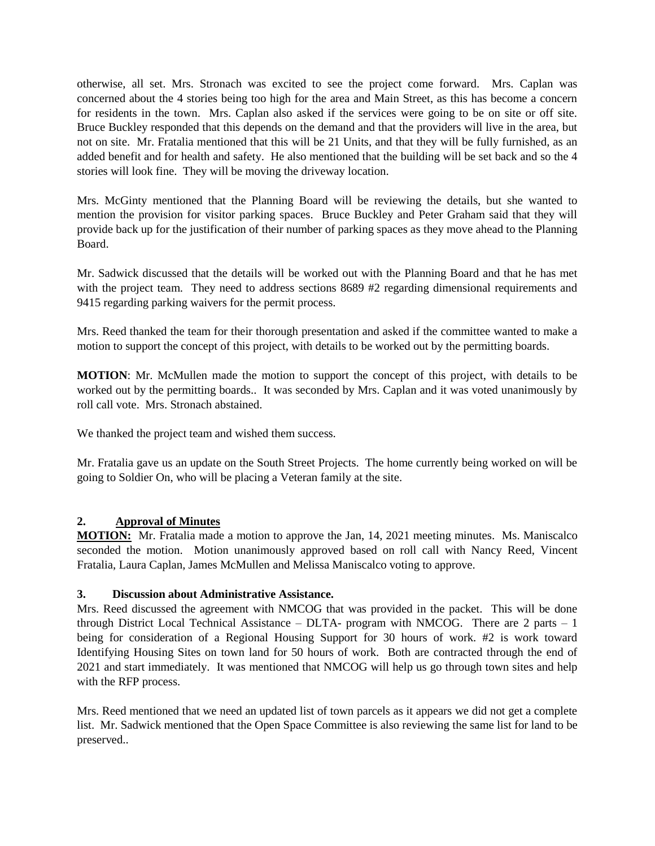otherwise, all set. Mrs. Stronach was excited to see the project come forward. Mrs. Caplan was concerned about the 4 stories being too high for the area and Main Street, as this has become a concern for residents in the town. Mrs. Caplan also asked if the services were going to be on site or off site. Bruce Buckley responded that this depends on the demand and that the providers will live in the area, but not on site. Mr. Fratalia mentioned that this will be 21 Units, and that they will be fully furnished, as an added benefit and for health and safety. He also mentioned that the building will be set back and so the 4 stories will look fine. They will be moving the driveway location.

Mrs. McGinty mentioned that the Planning Board will be reviewing the details, but she wanted to mention the provision for visitor parking spaces. Bruce Buckley and Peter Graham said that they will provide back up for the justification of their number of parking spaces as they move ahead to the Planning Board.

Mr. Sadwick discussed that the details will be worked out with the Planning Board and that he has met with the project team. They need to address sections 8689 #2 regarding dimensional requirements and 9415 regarding parking waivers for the permit process.

Mrs. Reed thanked the team for their thorough presentation and asked if the committee wanted to make a motion to support the concept of this project, with details to be worked out by the permitting boards.

**MOTION**: Mr. McMullen made the motion to support the concept of this project, with details to be worked out by the permitting boards.. It was seconded by Mrs. Caplan and it was voted unanimously by roll call vote. Mrs. Stronach abstained.

We thanked the project team and wished them success.

Mr. Fratalia gave us an update on the South Street Projects. The home currently being worked on will be going to Soldier On, who will be placing a Veteran family at the site.

## **2. Approval of Minutes**

**MOTION:** Mr. Fratalia made a motion to approve the Jan, 14, 2021 meeting minutes. Ms. Maniscalco seconded the motion. Motion unanimously approved based on roll call with Nancy Reed, Vincent Fratalia, Laura Caplan, James McMullen and Melissa Maniscalco voting to approve.

### **3. Discussion about Administrative Assistance.**

Mrs. Reed discussed the agreement with NMCOG that was provided in the packet. This will be done through District Local Technical Assistance – DLTA- program with NMCOG. There are  $2$  parts – 1 being for consideration of a Regional Housing Support for 30 hours of work. #2 is work toward Identifying Housing Sites on town land for 50 hours of work. Both are contracted through the end of 2021 and start immediately. It was mentioned that NMCOG will help us go through town sites and help with the RFP process.

Mrs. Reed mentioned that we need an updated list of town parcels as it appears we did not get a complete list. Mr. Sadwick mentioned that the Open Space Committee is also reviewing the same list for land to be preserved..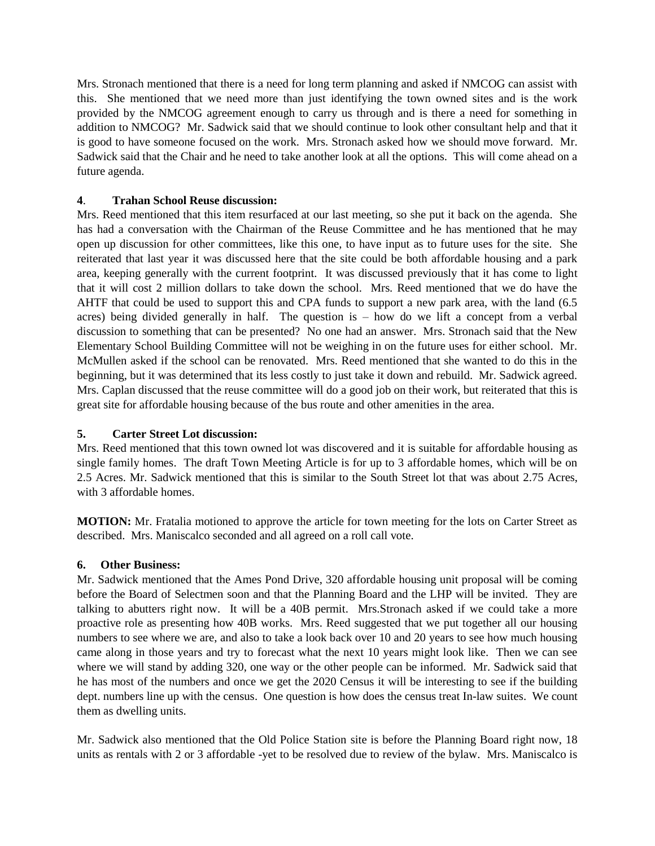Mrs. Stronach mentioned that there is a need for long term planning and asked if NMCOG can assist with this. She mentioned that we need more than just identifying the town owned sites and is the work provided by the NMCOG agreement enough to carry us through and is there a need for something in addition to NMCOG? Mr. Sadwick said that we should continue to look other consultant help and that it is good to have someone focused on the work. Mrs. Stronach asked how we should move forward. Mr. Sadwick said that the Chair and he need to take another look at all the options. This will come ahead on a future agenda.

## **4**. **Trahan School Reuse discussion:**

Mrs. Reed mentioned that this item resurfaced at our last meeting, so she put it back on the agenda. She has had a conversation with the Chairman of the Reuse Committee and he has mentioned that he may open up discussion for other committees, like this one, to have input as to future uses for the site. She reiterated that last year it was discussed here that the site could be both affordable housing and a park area, keeping generally with the current footprint. It was discussed previously that it has come to light that it will cost 2 million dollars to take down the school. Mrs. Reed mentioned that we do have the AHTF that could be used to support this and CPA funds to support a new park area, with the land (6.5 acres) being divided generally in half. The question is – how do we lift a concept from a verbal discussion to something that can be presented? No one had an answer. Mrs. Stronach said that the New Elementary School Building Committee will not be weighing in on the future uses for either school. Mr. McMullen asked if the school can be renovated. Mrs. Reed mentioned that she wanted to do this in the beginning, but it was determined that its less costly to just take it down and rebuild. Mr. Sadwick agreed. Mrs. Caplan discussed that the reuse committee will do a good job on their work, but reiterated that this is great site for affordable housing because of the bus route and other amenities in the area.

### **5. Carter Street Lot discussion:**

Mrs. Reed mentioned that this town owned lot was discovered and it is suitable for affordable housing as single family homes. The draft Town Meeting Article is for up to 3 affordable homes, which will be on 2.5 Acres. Mr. Sadwick mentioned that this is similar to the South Street lot that was about 2.75 Acres, with 3 affordable homes.

**MOTION:** Mr. Fratalia motioned to approve the article for town meeting for the lots on Carter Street as described. Mrs. Maniscalco seconded and all agreed on a roll call vote.

### **6. Other Business:**

Mr. Sadwick mentioned that the Ames Pond Drive, 320 affordable housing unit proposal will be coming before the Board of Selectmen soon and that the Planning Board and the LHP will be invited. They are talking to abutters right now. It will be a 40B permit. Mrs.Stronach asked if we could take a more proactive role as presenting how 40B works. Mrs. Reed suggested that we put together all our housing numbers to see where we are, and also to take a look back over 10 and 20 years to see how much housing came along in those years and try to forecast what the next 10 years might look like. Then we can see where we will stand by adding 320, one way or the other people can be informed. Mr. Sadwick said that he has most of the numbers and once we get the 2020 Census it will be interesting to see if the building dept. numbers line up with the census. One question is how does the census treat In-law suites. We count them as dwelling units.

Mr. Sadwick also mentioned that the Old Police Station site is before the Planning Board right now, 18 units as rentals with 2 or 3 affordable -yet to be resolved due to review of the bylaw. Mrs. Maniscalco is